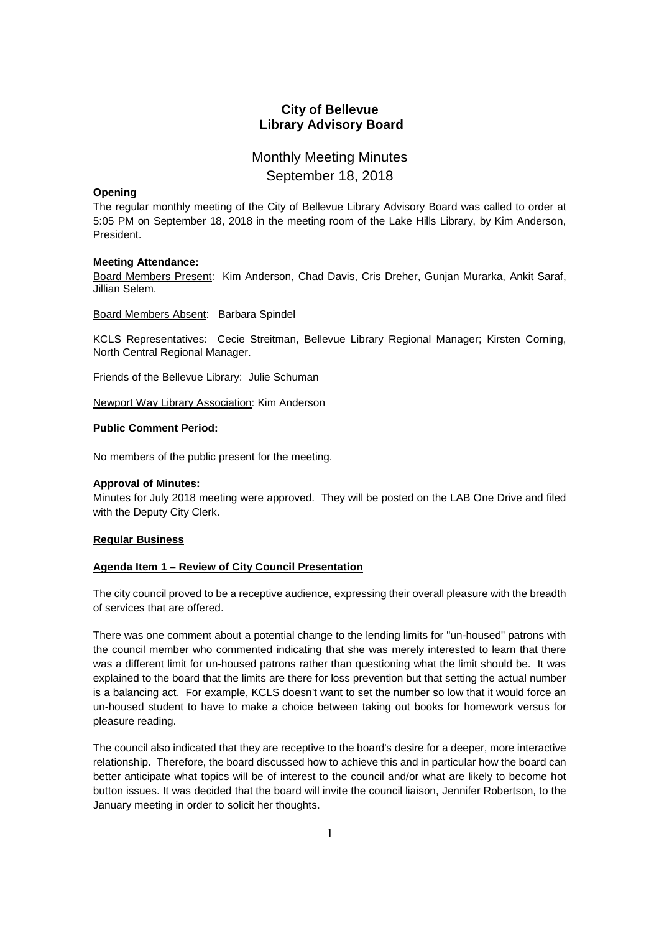## **City of Bellevue Library Advisory Board**

# Monthly Meeting Minutes September 18, 2018

#### **Opening**

The regular monthly meeting of the City of Bellevue Library Advisory Board was called to order at 5:05 PM on September 18, 2018 in the meeting room of the Lake Hills Library, by Kim Anderson, President.

#### **Meeting Attendance:**

Board Members Present: Kim Anderson, Chad Davis, Cris Dreher, Gunjan Murarka, Ankit Saraf, Jillian Selem.

Board Members Absent: Barbara Spindel

KCLS Representatives: Cecie Streitman, Bellevue Library Regional Manager; Kirsten Corning, North Central Regional Manager.

Friends of the Bellevue Library: Julie Schuman

Newport Way Library Association: Kim Anderson

## **Public Comment Period:**

No members of the public present for the meeting.

#### **Approval of Minutes:**

Minutes for July 2018 meeting were approved. They will be posted on the LAB One Drive and filed with the Deputy City Clerk.

#### **Regular Business**

## **Agenda Item 1 – Review of City Council Presentation**

The city council proved to be a receptive audience, expressing their overall pleasure with the breadth of services that are offered.

There was one comment about a potential change to the lending limits for "un-housed" patrons with the council member who commented indicating that she was merely interested to learn that there was a different limit for un-housed patrons rather than questioning what the limit should be. It was explained to the board that the limits are there for loss prevention but that setting the actual number is a balancing act. For example, KCLS doesn't want to set the number so low that it would force an un-housed student to have to make a choice between taking out books for homework versus for pleasure reading.

The council also indicated that they are receptive to the board's desire for a deeper, more interactive relationship. Therefore, the board discussed how to achieve this and in particular how the board can better anticipate what topics will be of interest to the council and/or what are likely to become hot button issues. It was decided that the board will invite the council liaison, Jennifer Robertson, to the January meeting in order to solicit her thoughts.